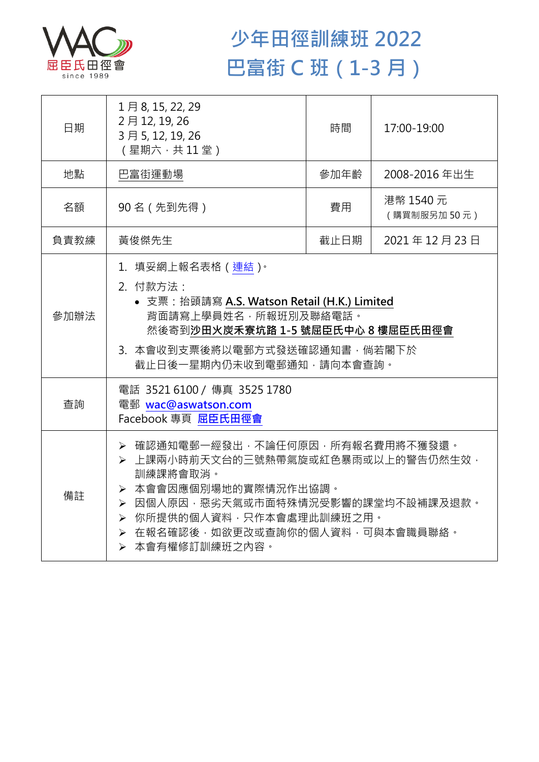

## **少年田徑訓練班 2022 巴富街 C 班(1-3 月)**

| 日期   | 1月8, 15, 22, 29<br>2月12, 19, 26<br>3月5, 12, 19, 26<br>(星期六,共11堂)                                                                                                                                                                      | 時間   | 17:00-19:00              |  |
|------|---------------------------------------------------------------------------------------------------------------------------------------------------------------------------------------------------------------------------------------|------|--------------------------|--|
| 地點   | 巴富街運動場                                                                                                                                                                                                                                | 參加年齡 | 2008-2016 年出生            |  |
| 名額   | 90名 (先到先得)                                                                                                                                                                                                                            | 費用   | 港幣 1540 元<br>(購買制服另加50元) |  |
| 負責教練 | 黃俊傑先生                                                                                                                                                                                                                                 | 截止日期 | 2021年12月23日              |  |
| 參加辦法 | 1.填妥網上報名表格(連結) <sup>。</sup><br>2. 付款方法:<br>• 支票: 抬頭請寫 A.S. Watson Retail (H.K.) Limited<br>背面請寫上學員姓名,所報班別及聯絡電話。<br>然後寄到沙田火炭禾寮坑路 1-5 號屈臣氏中心 8 樓屈臣氏田徑會<br>3. 本會收到支票後將以電郵方式發送確認通知書,倘若閣下於<br>截止日後一星期內仍未收到電郵通知,請向本會查詢。                     |      |                          |  |
| 查詢   | 電話 3521 6100 / 傳真 3525 1780<br>電郵 wac@aswatson.com<br>Facebook 專頁 屈臣氏田徑會                                                                                                                                                              |      |                          |  |
| 備註   | ▶ 確認通知電郵一經發出,不論任何原因,所有報名費用將不獲發還。<br>▶ 上課兩小時前天文台的三號熱帶氣旋或紅色暴雨或以上的警告仍然生效,<br>訓練課將會取消。<br>▶ 本會會因應個別場地的實際情況作出協調。<br>▶ 因個人原因,惡劣天氣或市面特殊情況受影響的課堂均不設補課及退款。<br>▶ 你所提供的個人資料,只作本會處理此訓練班之用。<br>▶ 在報名確認後,如欲更改或查詢你的個人資料,可與本會職員聯絡。<br>▶ 本會有權修訂訓練班之內容。 |      |                          |  |